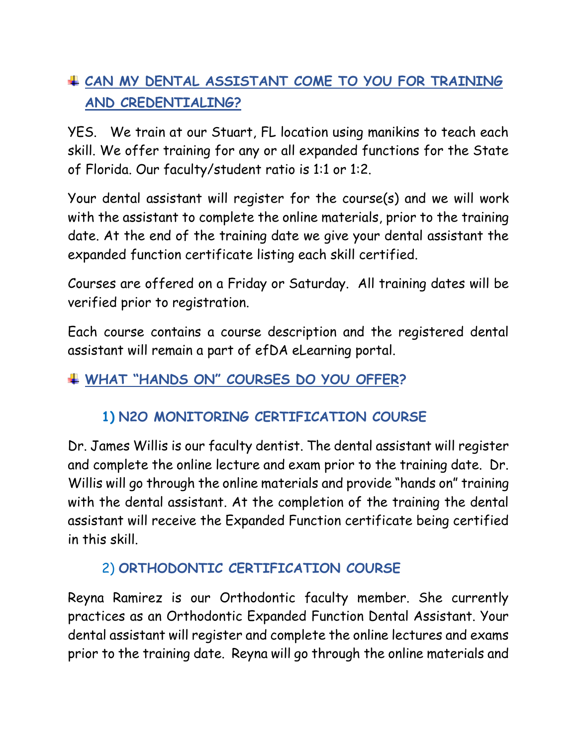# **CAN MY DENTAL ASSISTANT COME TO YOU FOR TRAINING AND CREDENTIALING?**

YES. We train at our Stuart, FL location using manikins to teach each skill. We offer training for any or all expanded functions for the State of Florida. Our faculty/student ratio is 1:1 or 1:2.

Your dental assistant will register for the course(s) and we will work with the assistant to complete the online materials, prior to the training date. At the end of the training date we give your dental assistant the expanded function certificate listing each skill certified.

Courses are offered on a Friday or Saturday. All training dates will be verified prior to registration.

Each course contains a course description and the registered dental assistant will remain a part of efDA eLearning portal.

### **WHAT "HANDS ON" COURSES DO YOU OFFER?**

# **1) N2O MONITORING CERTIFICATION COURSE**

Dr. James Willis is our faculty dentist. The dental assistant will register and complete the online lecture and exam prior to the training date. Dr. Willis will go through the online materials and provide "hands on" training with the dental assistant. At the completion of the training the dental assistant will receive the Expanded Function certificate being certified in this skill.

### 2) **ORTHODONTIC CERTIFICATION COURSE**

Reyna Ramirez is our Orthodontic faculty member. She currently practices as an Orthodontic Expanded Function Dental Assistant. Your dental assistant will register and complete the online lectures and exams prior to the training date. Reyna will go through the online materials and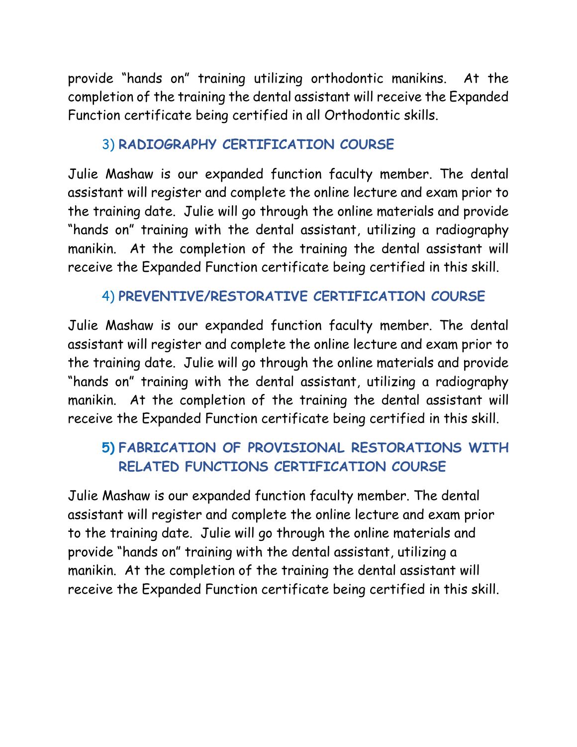provide "hands on" training utilizing orthodontic manikins. At the completion of the training the dental assistant will receive the Expanded Function certificate being certified in all Orthodontic skills.

#### 3) **RADIOGRAPHY CERTIFICATION COURSE**

Julie Mashaw is our expanded function faculty member. The dental assistant will register and complete the online lecture and exam prior to the training date. Julie will go through the online materials and provide "hands on" training with the dental assistant, utilizing a radiography manikin. At the completion of the training the dental assistant will receive the Expanded Function certificate being certified in this skill.

#### 4) **PREVENTIVE/RESTORATIVE CERTIFICATION COURSE**

Julie Mashaw is our expanded function faculty member. The dental assistant will register and complete the online lecture and exam prior to the training date. Julie will go through the online materials and provide "hands on" training with the dental assistant, utilizing a radiography manikin. At the completion of the training the dental assistant will receive the Expanded Function certificate being certified in this skill.

#### **5) FABRICATION OF PROVISIONAL RESTORATIONS WITH RELATED FUNCTIONS CERTIFICATION COURSE**

Julie Mashaw is our expanded function faculty member. The dental assistant will register and complete the online lecture and exam prior to the training date. Julie will go through the online materials and provide "hands on" training with the dental assistant, utilizing a manikin. At the completion of the training the dental assistant will receive the Expanded Function certificate being certified in this skill.